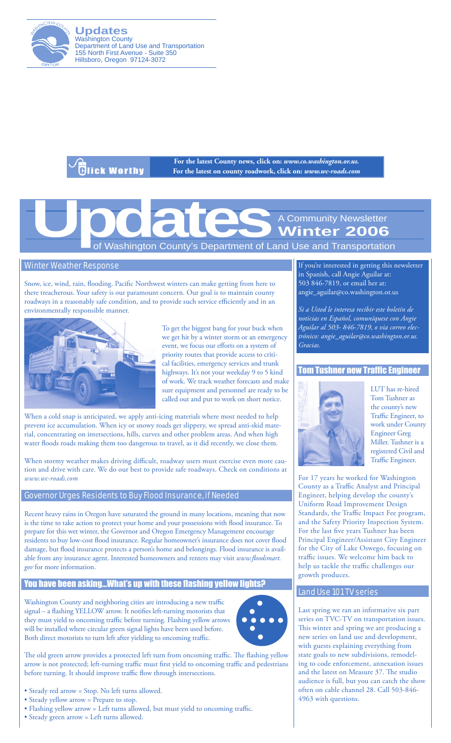

**Updates** Washington County Department of Land Use and Transportation 155 North First Avenue - Suite 350 Hillsboro, Oregon 97124-3072

.<br>Glick Worthy

**For the latest County news, click on:** *www.co.washington.or.us.* **For the latest on county roadwork, click on:** *www.wc-roads.com*

# of Washington County's Department of Land Use and Transportation A Community Newsletter **Winter 2006**<br>nd Use and Transportation

# Winter Weather Response

Snow, ice, wind, rain, flooding. Pacific Northwest winters can make getting from here to there treacherous. Your safety is our paramount concern. Our goal is to maintain county roadways in a reasonably safe condition, and to provide such service efficiently and in an environmentally responsible manner.



To get the biggest bang for your buck when we get hit by a winter storm or an emergency event, we focus our efforts on a system of priority routes that provide access to critical facilities, emergency services and trunk highways. It's not your weekday 9 to 5 kind of work. We track weather forecasts and make sure equipment and personnel are ready to be called out and put to work on short notice.

When a cold snap is anticipated, we apply anti-icing materials where most needed to help prevent ice accumulation. When icy or snowy roads get slippery, we spread anti-skid material, concentrating on intersections, hills, curves and other problem areas. And when high water floods roads making them too dangerous to travel, as it did recently, we close them.

When stormy weather makes driving difficult, roadway users must exercise even more caution and drive with care. We do our best to provide safe roadways. Check on conditions at *www.wc-roads.com*

### Governor Urges Residents to Buy Flood Insurance, if Needed

Recent heavy rains in Oregon have saturated the ground in many locations, meaning that now is the time to take action to protect your home and your possessions with flood insurance. To prepare for this wet winter, the Governor and Oregon Emergency Management encourage residents to buy low-cost flood insurance. Regular homeowner's insurance does not cover flood damage, but flood insurance protects a person's home and belongings. Flood insurance is available from any insurance agent. Interested homeowners and renters may visit *www.floodsmart. gov* for more information.

## You have been asking…What's up with these flashing yellow lights?

Washington County and neighboring cities are introducing a new traffic signal – a flashing YELLOW arrow. It notifies left-turning motorists that they must yield to oncoming traffic before turning. Flashing yellow arrows will be installed where circular green signal lights have been used before. Both direct motorists to turn left after yielding to oncoming traffic.



- Steady red arrow = Stop. No left turns allowed.
- Steady yellow arrow = Prepare to stop.
- Flashing yellow arrow = Left turns allowed, but must yield to oncoming traffic.
- Steady green arrow = Left turns allowed.



If you're interested in getting this newsletter in Spanish, call Angie Aguilar at: 503 846-7819, or email her at: angie\_aguilar@co.washington.or.us

*Si a Usted le interesa recibir este boletín de noticias en Español, comuníquese con Angie Aguilar al 503- 846-7819, o via correo electrónico: angie\_aguilar@co.washington.or.us. Gracias.*

#### Tom Tushner new Traffic Engineer



LUT has re-hired Tom Tushner as the county's new Traffic Engineer, to work under County Engineer Greg Miller. Tushner is a registered Civil and Traffic Engineer.

For 17 years he worked for Washington County as a Traffic Analyst and Principal Engineer, helping develop the county's Uniform Road Improvement Design Standards, the Traffic Impact Fee program, and the Safety Priority Inspection System. For the last five years Tushner has been Principal Engineer/Assistant City Engineer for the City of Lake Oswego, focusing on traffic issues. We welcome him back to help us tackle the traffic challenges our growth produces.

#### Land Use 101 TV series

Last spring we ran an informative six part series on TVC-TV on transportation issues. This winter and spring we are producing a new series on land use and development, with guests explaining everything from state goals to new subdivisions, remodeling to code enforcement, annexation issues and the latest on Measure 37. The studio audience is full, but you can catch the show often on cable channel 28. Call 503-846- 4963 with questions.